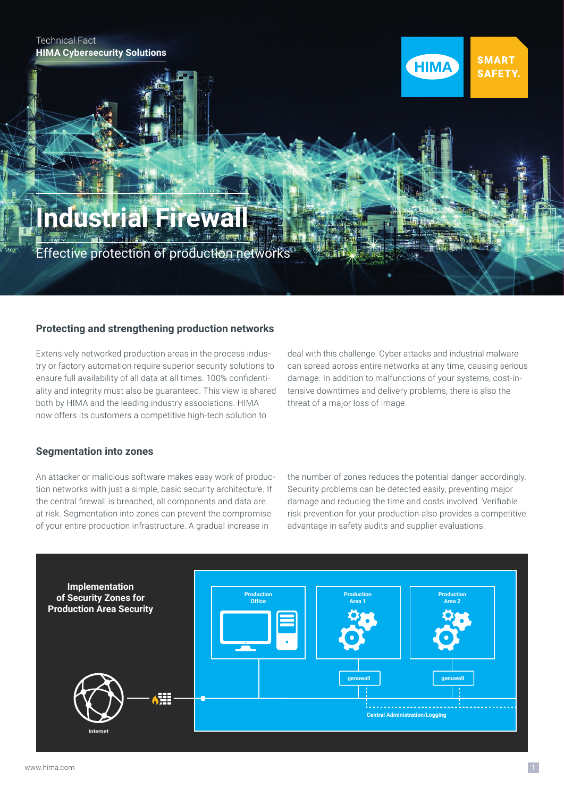#### Technical Fact **HIMA Cybersecurity Solutions**

#### **SMART HIMA SAFETY.**

# **Industrial Firew**

<u>Effective protection of production networks</u>

## **Protecting and strengthening production networks**

Extensively networked production areas in the process industry or factory automation require superior security solutions to ensure full availability of all data at all times. 100% confidentiality and integrity must also be guaranteed. This view is shared both by HIMA and the leading industry associations. HIMA now offers its customers a competitive high-tech solution to

deal with this challenge. Cyber attacks and industrial malware can spread across entire networks at any time, causing serious damage. In addition to malfunctions of your systems, cost-intensive downtimes and delivery problems, there is also the threat of a major loss of image.

#### **Segmentation into zones**

An attacker or malicious software makes easy work of production networks with just a simple, basic security architecture. If the central firewall is breached, all components and data are at risk. Segmentation into zones can prevent the compromise of your entire production infrastructure. A gradual increase in

the number of zones reduces the potential danger accordingly. Security problems can be detected easily, preventing major damage and reducing the time and costs involved. Verifiable risk prevention for your production also provides a competitive advantage in safety audits and supplier evaluations.

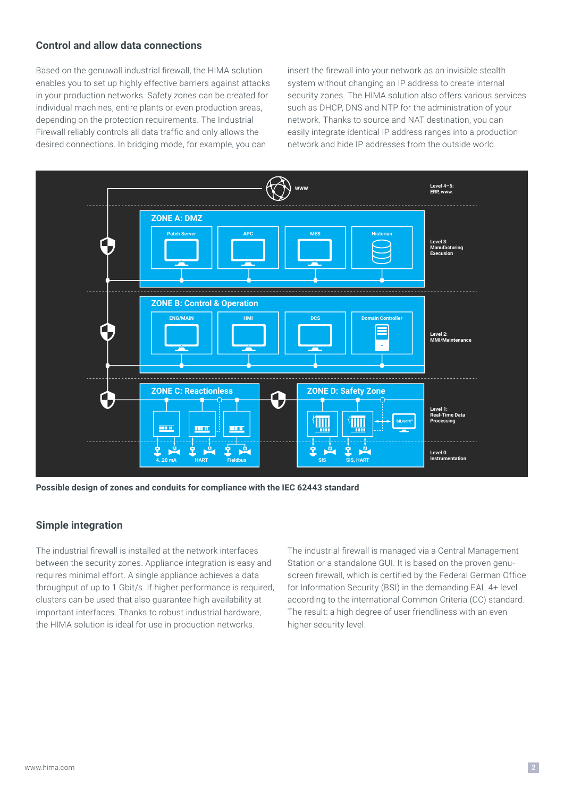### **Control and allow data connections**

Based on the genuwall industrial firewall, the HIMA solution enables you to set up highly effective barriers against attacks in your production networks. Safety zones can be created for individual machines, entire plants or even production areas, depending on the protection requirements. The Industrial Firewall reliably controls all data traffic and only allows the desired connections. In bridging mode, for example, you can

insert the firewall into your network as an invisible stealth system without changing an IP address to create internal security zones. The HIMA solution also offers various services such as DHCP, DNS and NTP for the administration of your network. Thanks to source and NAT destination, you can easily integrate identical IP address ranges into a production network and hide IP addresses from the outside world.



**Possible design of zones and conduits for compliance with the IEC 62443 standard**

#### **Simple integration**

The industrial firewall is installed at the network interfaces between the security zones. Appliance integration is easy and requires minimal effort. A single appliance achieves a data throughput of up to 1 Gbit/s. If higher performance is required, clusters can be used that also guarantee high availability at important interfaces. Thanks to robust industrial hardware, the HIMA solution is ideal for use in production networks.

The industrial firewall is managed via a Central Management Station or a standalone GUI. It is based on the proven genuscreen firewall, which is certified by the Federal German Office for Information Security (BSI) in the demanding EAL 4+ level according to the international Common Criteria (CC) standard. The result: a high degree of user friendliness with an even higher security level.